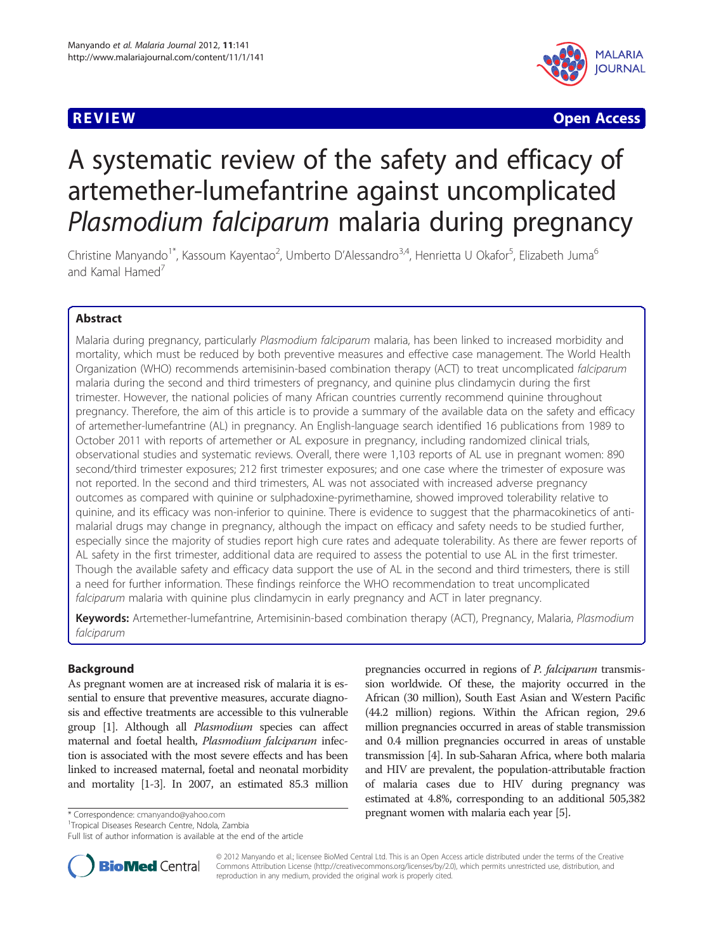

**REVIEW CONSTRUCTION CONSTRUCTION CONSTRUCTS** 

# A systematic review of the safety and efficacy of artemether-lumefantrine against uncomplicated Plasmodium falciparum malaria during pregnancy

Christine Manyando<sup>1\*</sup>, Kassoum Kayentao<sup>2</sup>, Umberto D'Alessandro<sup>3,4</sup>, Henrietta U Okafor<sup>5</sup>, Elizabeth Juma<sup>6</sup> and Kamal Hamed<sup>7</sup>

# Abstract

Malaria during pregnancy, particularly Plasmodium falciparum malaria, has been linked to increased morbidity and mortality, which must be reduced by both preventive measures and effective case management. The World Health Organization (WHO) recommends artemisinin-based combination therapy (ACT) to treat uncomplicated falciparum malaria during the second and third trimesters of pregnancy, and quinine plus clindamycin during the first trimester. However, the national policies of many African countries currently recommend quinine throughout pregnancy. Therefore, the aim of this article is to provide a summary of the available data on the safety and efficacy of artemether-lumefantrine (AL) in pregnancy. An English-language search identified 16 publications from 1989 to October 2011 with reports of artemether or AL exposure in pregnancy, including randomized clinical trials, observational studies and systematic reviews. Overall, there were 1,103 reports of AL use in pregnant women: 890 second/third trimester exposures; 212 first trimester exposures; and one case where the trimester of exposure was not reported. In the second and third trimesters, AL was not associated with increased adverse pregnancy outcomes as compared with quinine or sulphadoxine-pyrimethamine, showed improved tolerability relative to quinine, and its efficacy was non-inferior to quinine. There is evidence to suggest that the pharmacokinetics of antimalarial drugs may change in pregnancy, although the impact on efficacy and safety needs to be studied further, especially since the majority of studies report high cure rates and adequate tolerability. As there are fewer reports of AL safety in the first trimester, additional data are required to assess the potential to use AL in the first trimester. Though the available safety and efficacy data support the use of AL in the second and third trimesters, there is still a need for further information. These findings reinforce the WHO recommendation to treat uncomplicated falciparum malaria with quinine plus clindamycin in early pregnancy and ACT in later pregnancy.

Keywords: Artemether-lumefantrine, Artemisinin-based combination therapy (ACT), Pregnancy, Malaria, Plasmodium falciparum

# Background

As pregnant women are at increased risk of malaria it is essential to ensure that preventive measures, accurate diagnosis and effective treatments are accessible to this vulnerable group [[1](#page-11-0)]. Although all Plasmodium species can affect maternal and foetal health, Plasmodium falciparum infection is associated with the most severe effects and has been linked to increased maternal, foetal and neonatal morbidity and mortality [\[1-3](#page-11-0)]. In 2007, an estimated 85.3 million

pregnancies occurred in regions of P. falciparum transmission worldwide. Of these, the majority occurred in the African (30 million), South East Asian and Western Pacific (44.2 million) regions. Within the African region, 29.6 million pregnancies occurred in areas of stable transmission and 0.4 million pregnancies occurred in areas of unstable transmission [\[4\]](#page-11-0). In sub-Saharan Africa, where both malaria and HIV are prevalent, the population-attributable fraction of malaria cases due to HIV during pregnancy was estimated at 4.8%, corresponding to an additional 505,382 \*Correspondence: [cmanyando@yahoo.com](mailto:cmanyando@yahoo.com) **pregnant women with malaria each year** [\[5](#page-11-0)].



© 2012 Manyando et al.; licensee BioMed Central Ltd. This is an Open Access article distributed under the terms of the Creative Commons Attribution License (http://creativecommons.org/licenses/by/2.0), which permits unrestricted use, distribution, and reproduction in any medium, provided the original work is properly cited.

<sup>&</sup>lt;sup>1</sup>Tropical Diseases Research Centre, Ndola, Zambia

Full list of author information is available at the end of the article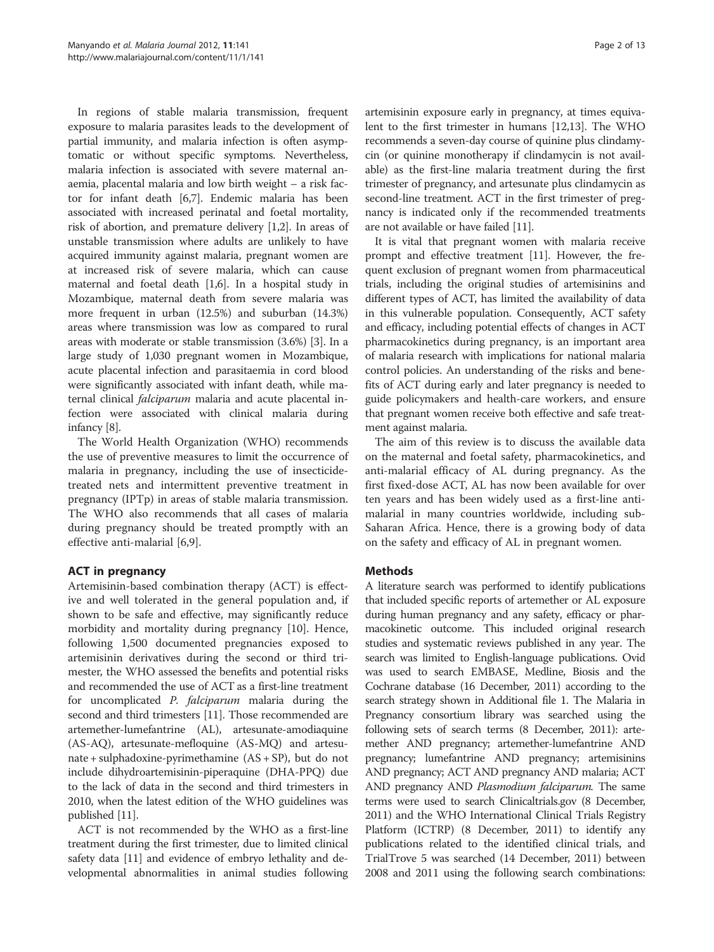In regions of stable malaria transmission, frequent exposure to malaria parasites leads to the development of partial immunity, and malaria infection is often asymptomatic or without specific symptoms. Nevertheless, malaria infection is associated with severe maternal anaemia, placental malaria and low birth weight – a risk factor for infant death [[6,7](#page-11-0)]. Endemic malaria has been associated with increased perinatal and foetal mortality, risk of abortion, and premature delivery [\[1,2\]](#page-11-0). In areas of unstable transmission where adults are unlikely to have acquired immunity against malaria, pregnant women are at increased risk of severe malaria, which can cause maternal and foetal death [\[1,6](#page-11-0)]. In a hospital study in Mozambique, maternal death from severe malaria was more frequent in urban (12.5%) and suburban (14.3%) areas where transmission was low as compared to rural areas with moderate or stable transmission (3.6%) [\[3\]](#page-11-0). In a large study of 1,030 pregnant women in Mozambique, acute placental infection and parasitaemia in cord blood were significantly associated with infant death, while maternal clinical *falciparum* malaria and acute placental infection were associated with clinical malaria during infancy [\[8\]](#page-11-0).

The World Health Organization (WHO) recommends the use of preventive measures to limit the occurrence of malaria in pregnancy, including the use of insecticidetreated nets and intermittent preventive treatment in pregnancy (IPTp) in areas of stable malaria transmission. The WHO also recommends that all cases of malaria during pregnancy should be treated promptly with an effective anti-malarial [[6,9\]](#page-11-0).

# ACT in pregnancy

Artemisinin-based combination therapy (ACT) is effective and well tolerated in the general population and, if shown to be safe and effective, may significantly reduce morbidity and mortality during pregnancy [[10\]](#page-11-0). Hence, following 1,500 documented pregnancies exposed to artemisinin derivatives during the second or third trimester, the WHO assessed the benefits and potential risks and recommended the use of ACT as a first-line treatment for uncomplicated P. falciparum malaria during the second and third trimesters [\[11\]](#page-11-0). Those recommended are artemether-lumefantrine (AL), artesunate-amodiaquine (AS-AQ), artesunate-mefloquine (AS-MQ) and artesunate + sulphadoxine-pyrimethamine (AS + SP), but do not include dihydroartemisinin-piperaquine (DHA-PPQ) due to the lack of data in the second and third trimesters in 2010, when the latest edition of the WHO guidelines was published [[11](#page-11-0)].

ACT is not recommended by the WHO as a first-line treatment during the first trimester, due to limited clinical safety data [\[11\]](#page-11-0) and evidence of embryo lethality and developmental abnormalities in animal studies following

artemisinin exposure early in pregnancy, at times equivalent to the first trimester in humans [\[12,13\]](#page-11-0). The WHO recommends a seven-day course of quinine plus clindamycin (or quinine monotherapy if clindamycin is not available) as the first-line malaria treatment during the first trimester of pregnancy, and artesunate plus clindamycin as second-line treatment. ACT in the first trimester of pregnancy is indicated only if the recommended treatments are not available or have failed [[11](#page-11-0)].

It is vital that pregnant women with malaria receive prompt and effective treatment [[11](#page-11-0)]. However, the frequent exclusion of pregnant women from pharmaceutical trials, including the original studies of artemisinins and different types of ACT, has limited the availability of data in this vulnerable population. Consequently, ACT safety and efficacy, including potential effects of changes in ACT pharmacokinetics during pregnancy, is an important area of malaria research with implications for national malaria control policies. An understanding of the risks and benefits of ACT during early and later pregnancy is needed to guide policymakers and health-care workers, and ensure that pregnant women receive both effective and safe treatment against malaria.

The aim of this review is to discuss the available data on the maternal and foetal safety, pharmacokinetics, and anti-malarial efficacy of AL during pregnancy. As the first fixed-dose ACT, AL has now been available for over ten years and has been widely used as a first-line antimalarial in many countries worldwide, including sub-Saharan Africa. Hence, there is a growing body of data on the safety and efficacy of AL in pregnant women.

# Methods

A literature search was performed to identify publications that included specific reports of artemether or AL exposure during human pregnancy and any safety, efficacy or pharmacokinetic outcome. This included original research studies and systematic reviews published in any year. The search was limited to English-language publications. Ovid was used to search EMBASE, Medline, Biosis and the Cochrane database (16 December, 2011) according to the search strategy shown in Additional file [1](#page-10-0). The Malaria in Pregnancy consortium library was searched using the following sets of search terms (8 December, 2011): artemether AND pregnancy; artemether-lumefantrine AND pregnancy; lumefantrine AND pregnancy; artemisinins AND pregnancy; ACT AND pregnancy AND malaria; ACT AND pregnancy AND Plasmodium falciparum. The same terms were used to search Clinicaltrials.gov (8 December, 2011) and the WHO International Clinical Trials Registry Platform (ICTRP) (8 December, 2011) to identify any publications related to the identified clinical trials, and TrialTrove 5 was searched (14 December, 2011) between 2008 and 2011 using the following search combinations: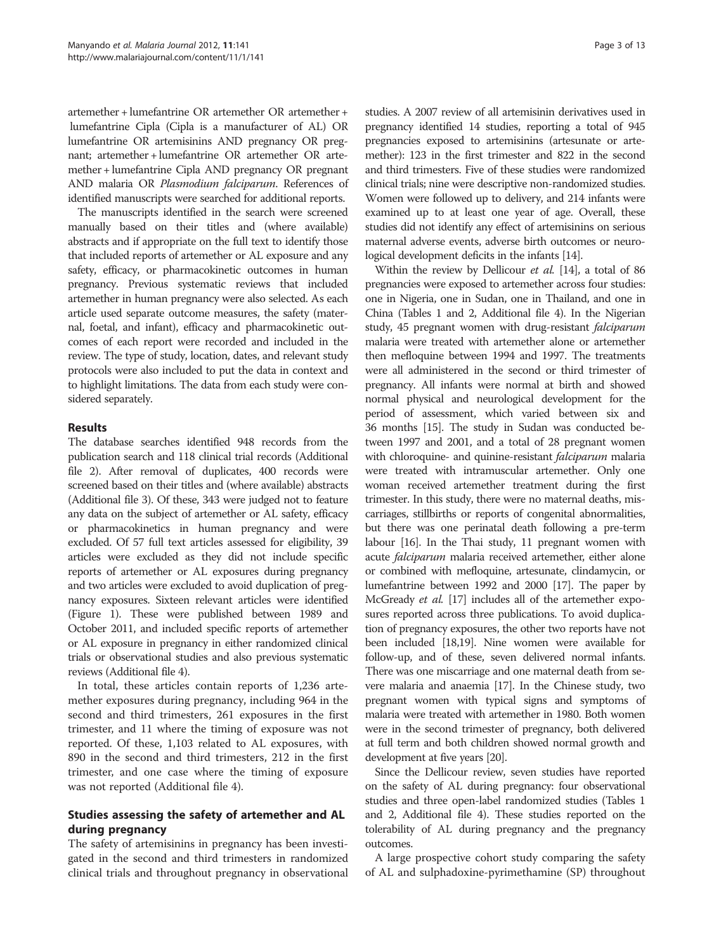artemether + lumefantrine OR artemether OR artemether + lumefantrine Cipla (Cipla is a manufacturer of AL) OR lumefantrine OR artemisinins AND pregnancy OR pregnant; artemether + lumefantrine OR artemether OR artemether + lumefantrine Cipla AND pregnancy OR pregnant AND malaria OR Plasmodium falciparum. References of identified manuscripts were searched for additional reports.

The manuscripts identified in the search were screened manually based on their titles and (where available) abstracts and if appropriate on the full text to identify those that included reports of artemether or AL exposure and any safety, efficacy, or pharmacokinetic outcomes in human pregnancy. Previous systematic reviews that included artemether in human pregnancy were also selected. As each article used separate outcome measures, the safety (maternal, foetal, and infant), efficacy and pharmacokinetic outcomes of each report were recorded and included in the review. The type of study, location, dates, and relevant study protocols were also included to put the data in context and to highlight limitations. The data from each study were considered separately.

# Results

The database searches identified 948 records from the publication search and 118 clinical trial records [\(Additional](#page-10-0) [file 2](#page-10-0)). After removal of duplicates, 400 records were screened based on their titles and (where available) abstracts (Additional file [3](#page-10-0)). Of these, 343 were judged not to feature any data on the subject of artemether or AL safety, efficacy or pharmacokinetics in human pregnancy and were excluded. Of 57 full text articles assessed for eligibility, 39 articles were excluded as they did not include specific reports of artemether or AL exposures during pregnancy and two articles were excluded to avoid duplication of pregnancy exposures. Sixteen relevant articles were identified (Figure [1](#page-3-0)). These were published between 1989 and October 2011, and included specific reports of artemether or AL exposure in pregnancy in either randomized clinical trials or observational studies and also previous systematic reviews [\(Additional file 4\)](#page-10-0).

In total, these articles contain reports of 1,236 artemether exposures during pregnancy, including 964 in the second and third trimesters, 261 exposures in the first trimester, and 11 where the timing of exposure was not reported. Of these, 1,103 related to AL exposures, with 890 in the second and third trimesters, 212 in the first trimester, and one case where the timing of exposure was not reported ([Additional file 4\)](#page-10-0).

# Studies assessing the safety of artemether and AL during pregnancy

The safety of artemisinins in pregnancy has been investigated in the second and third trimesters in randomized clinical trials and throughout pregnancy in observational

studies. A 2007 review of all artemisinin derivatives used in pregnancy identified 14 studies, reporting a total of 945 pregnancies exposed to artemisinins (artesunate or artemether): 123 in the first trimester and 822 in the second and third trimesters. Five of these studies were randomized clinical trials; nine were descriptive non-randomized studies. Women were followed up to delivery, and 214 infants were examined up to at least one year of age. Overall, these studies did not identify any effect of artemisinins on serious maternal adverse events, adverse birth outcomes or neurological development deficits in the infants [\[14](#page-11-0)].

Within the review by Dellicour et al. [[14](#page-11-0)], a total of 86 pregnancies were exposed to artemether across four studies: one in Nigeria, one in Sudan, one in Thailand, and one in China (Tables [1](#page-4-0) and [2,](#page-5-0) Additional file [4](#page-10-0)). In the Nigerian study, 45 pregnant women with drug-resistant *falciparum* malaria were treated with artemether alone or artemether then mefloquine between 1994 and 1997. The treatments were all administered in the second or third trimester of pregnancy. All infants were normal at birth and showed normal physical and neurological development for the period of assessment, which varied between six and 36 months [\[15](#page-11-0)]. The study in Sudan was conducted between 1997 and 2001, and a total of 28 pregnant women with chloroquine- and quinine-resistant *falciparum* malaria were treated with intramuscular artemether. Only one woman received artemether treatment during the first trimester. In this study, there were no maternal deaths, miscarriages, stillbirths or reports of congenital abnormalities, but there was one perinatal death following a pre-term labour [\[16\]](#page-11-0). In the Thai study, 11 pregnant women with acute *falciparum* malaria received artemether, either alone or combined with mefloquine, artesunate, clindamycin, or lumefantrine between 1992 and 2000 [\[17\]](#page-11-0). The paper by McGready et al. [\[17](#page-11-0)] includes all of the artemether exposures reported across three publications. To avoid duplication of pregnancy exposures, the other two reports have not been included [[18,19\]](#page-11-0). Nine women were available for follow-up, and of these, seven delivered normal infants. There was one miscarriage and one maternal death from severe malaria and anaemia [\[17\]](#page-11-0). In the Chinese study, two pregnant women with typical signs and symptoms of malaria were treated with artemether in 1980. Both women were in the second trimester of pregnancy, both delivered at full term and both children showed normal growth and development at five years [[20](#page-11-0)].

Since the Dellicour review, seven studies have reported on the safety of AL during pregnancy: four observational studies and three open-label randomized studies (Tables [1](#page-4-0) and [2,](#page-5-0) Additional file [4](#page-10-0)). These studies reported on the tolerability of AL during pregnancy and the pregnancy outcomes.

A large prospective cohort study comparing the safety of AL and sulphadoxine-pyrimethamine (SP) throughout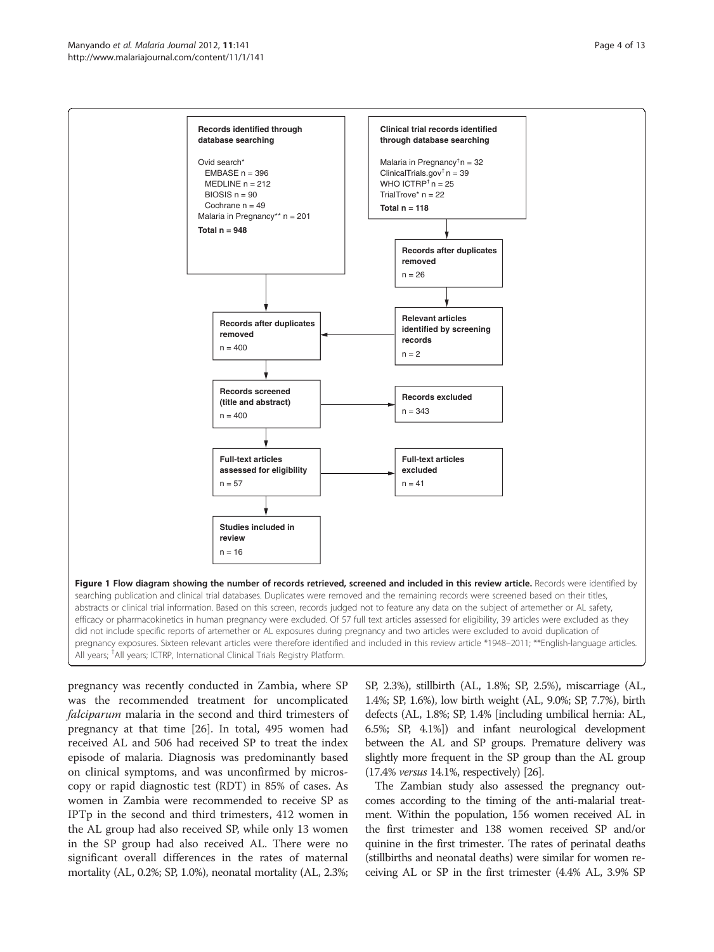#### <span id="page-3-0"></span>Manyando et al. Malaria Journal 2012, 11:141 Page 4 of 13 http://www.malariajournal.com/content/11/1/141



pregnancy was recently conducted in Zambia, where SP was the recommended treatment for uncomplicated falciparum malaria in the second and third trimesters of pregnancy at that time [[26\]](#page-11-0). In total, 495 women had received AL and 506 had received SP to treat the index episode of malaria. Diagnosis was predominantly based on clinical symptoms, and was unconfirmed by microscopy or rapid diagnostic test (RDT) in 85% of cases. As women in Zambia were recommended to receive SP as IPTp in the second and third trimesters, 412 women in the AL group had also received SP, while only 13 women in the SP group had also received AL. There were no significant overall differences in the rates of maternal mortality (AL, 0.2%; SP, 1.0%), neonatal mortality (AL, 2.3%;

SP, 2.3%), stillbirth (AL, 1.8%; SP, 2.5%), miscarriage (AL, 1.4%; SP, 1.6%), low birth weight (AL, 9.0%; SP, 7.7%), birth defects (AL, 1.8%; SP, 1.4% [including umbilical hernia: AL, 6.5%; SP, 4.1%]) and infant neurological development between the AL and SP groups. Premature delivery was slightly more frequent in the SP group than the AL group (17.4% versus 14.1%, respectively) [[26](#page-11-0)].

The Zambian study also assessed the pregnancy outcomes according to the timing of the anti-malarial treatment. Within the population, 156 women received AL in the first trimester and 138 women received SP and/or quinine in the first trimester. The rates of perinatal deaths (stillbirths and neonatal deaths) were similar for women receiving AL or SP in the first trimester (4.4% AL, 3.9% SP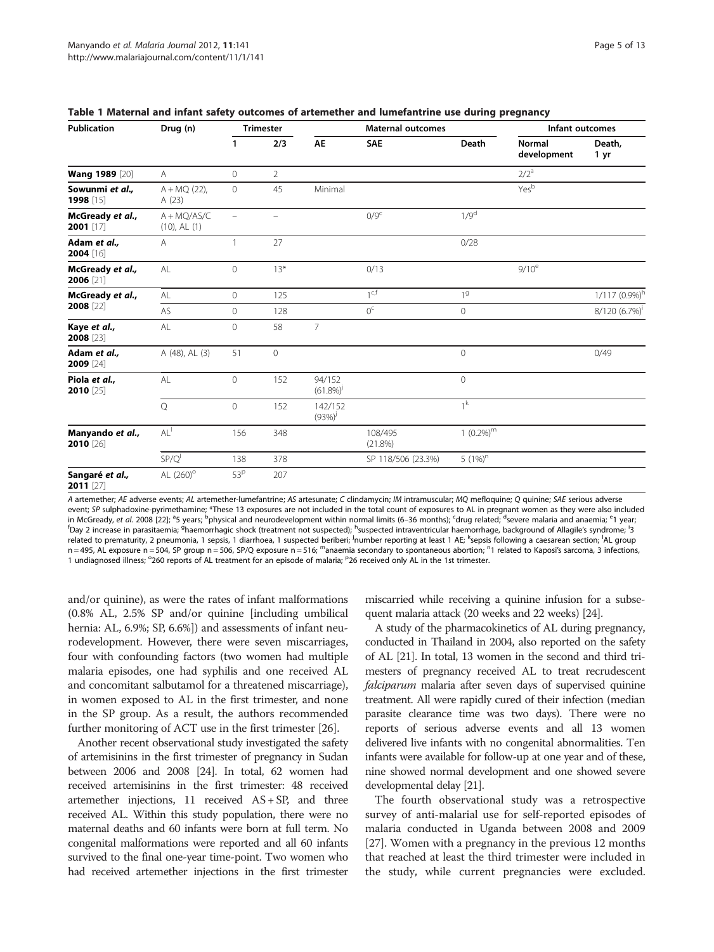| <b>Publication</b>            | Drug (n)                           | <b>Trimester</b>         |                          |                      | <b>Maternal outcomes</b> |                | Infant outcomes              |                             |
|-------------------------------|------------------------------------|--------------------------|--------------------------|----------------------|--------------------------|----------------|------------------------------|-----------------------------|
|                               |                                    | 1                        | 2/3                      | <b>AE</b>            | <b>SAE</b>               | Death          | <b>Normal</b><br>development | Death,<br>1 yr              |
| Wang 1989 [20]                | Α                                  | $\circ$                  | $\overline{2}$           |                      |                          |                | 2/2 <sup>a</sup>             |                             |
| Sowunmi et al.,<br>1998 [15]  | $A + MQ$ (22),<br>A (23)           | $\mathbf{0}$             | 45                       | Minimal              |                          |                | Yesb                         |                             |
| McGready et al.,<br>2001 [17] | $A + MQ/AS/C$<br>$(10)$ , AL $(1)$ | $\overline{\phantom{0}}$ | $\overline{\phantom{0}}$ |                      | 0/9 <sup>c</sup>         | $1/9^{d}$      |                              |                             |
| Adam et al.,<br>2004 [16]     | A                                  | $\mathbf{1}$             | 27                       |                      |                          | 0/28           |                              |                             |
| McGready et al.,<br>2006 [21] | AL                                 | $\circ$                  | $13*$                    |                      | 0/13                     |                | $9/10^e$                     |                             |
| McGready et al.,<br>2008 [22] | AL                                 | 0                        | 125                      |                      | $1^{c,\overline{f}}$     | 1 <sup>9</sup> |                              | $1/117$ (0.9%) <sup>h</sup> |
|                               | AS                                 | $\circ$                  | 128                      |                      | 0 <sup>c</sup>           | $\circ$        |                              | 8/120 (6.7%)                |
| Kaye et al.,<br>2008 [23]     | AL                                 | $\mathbf 0$              | 58                       | $\overline{7}$       |                          |                |                              |                             |
| Adam et al.,<br>2009 [24]     | A (48), AL (3)                     | 51                       | $\overline{0}$           |                      |                          | $\Omega$       |                              | 0/49                        |
| Piola et al.,<br>2010 [25]    | AL                                 | $\overline{0}$           | 152                      | 94/152<br>$(61.8\%)$ |                          | $\Omega$       |                              |                             |
|                               | $\mathsf{Q}$                       | 0                        | 152                      | 142/152<br>$(93%)^j$ |                          | 1 <sup>k</sup> |                              |                             |
| Manyando et al.,<br>2010 [26] | AL <sup>1</sup>                    | 156                      | 348                      |                      | 108/495<br>(21.8%)       | $1 (0.2\%)^m$  |                              |                             |
|                               | SP/Q <sup>1</sup>                  | 138                      | 378                      |                      | SP 118/506 (23.3%)       | 5 $(1%)^n$     |                              |                             |
| Sangaré et al.,<br>2011 [27]  | AL (260) <sup>o</sup>              | 53 <sup>p</sup>          | 207                      |                      |                          |                |                              |                             |

<span id="page-4-0"></span>

|  |  | Table 1 Maternal and infant safety outcomes of artemether and lumefantrine use during pregnancy |
|--|--|-------------------------------------------------------------------------------------------------|
|--|--|-------------------------------------------------------------------------------------------------|

A artemether; AE adverse events; AL artemether-lumefantrine; AS artesunate; C clindamycin; IM intramuscular; MQ mefloquine; Q quinine; SAE serious adverse event; SP sulphadoxine-pyrimethamine; \*These 13 exposures are not included in the total count of exposures to AL in pregnant women as they were also included in McGready, et al. 2008 [[22\]](#page-11-0); <sup>a</sup>5 years; <sup>b</sup>physical and neurodevelopment within normal limits (6–36 months); <sup>c</sup>drug related; <sup>d</sup>severe malaria and anaemia; <sup>e</sup>1 year;<br><sup>f</sup>Day 2 increase in pazasitaemia: <sup>9</sup>baemorrhagic Day 2 increase in parasitaemia; <sup>g</sup>haemorrhagic shock (treatment not suspected); <sup>h</sup>suspected intraventricular haemorrhage, background of Allagile's syndrome; <sup>i</sup>3 related to prematurity, 2 pneumonia, 1 sepsis, 1 diarrhoea, 1 suspected beriberi; <sup>j</sup>number reporting at least 1 AE; <sup>k</sup>sepsis following a caesarean section; <sup>I</sup>AL group n = 495, AL exposure n = 504, SP group n = 506, SP/Q exposure n = 516; <sup>m</sup>anaemia secondary to spontaneous abortion; <sup>n</sup>1 related to Kaposi's sarcoma, 3 infections, 1 undiagnosed illness; <sup>o</sup>260 reports of AL treatment for an episode of malaria; <sup>p</sup>26 received only AL in the 1st trimester.

and/or quinine), as were the rates of infant malformations (0.8% AL, 2.5% SP and/or quinine [including umbilical hernia: AL, 6.9%; SP, 6.6%]) and assessments of infant neurodevelopment. However, there were seven miscarriages, four with confounding factors (two women had multiple malaria episodes, one had syphilis and one received AL and concomitant salbutamol for a threatened miscarriage), in women exposed to AL in the first trimester, and none in the SP group. As a result, the authors recommended further monitoring of ACT use in the first trimester [\[26](#page-11-0)].

Another recent observational study investigated the safety of artemisinins in the first trimester of pregnancy in Sudan between 2006 and 2008 [[24](#page-11-0)]. In total, 62 women had received artemisinins in the first trimester: 48 received artemether injections,  $11$  received  $AS + SP$ , and three received AL. Within this study population, there were no maternal deaths and 60 infants were born at full term. No congenital malformations were reported and all 60 infants survived to the final one-year time-point. Two women who had received artemether injections in the first trimester miscarried while receiving a quinine infusion for a subsequent malaria attack (20 weeks and 22 weeks) [\[24](#page-11-0)].

A study of the pharmacokinetics of AL during pregnancy, conducted in Thailand in 2004, also reported on the safety of AL [[21](#page-11-0)]. In total, 13 women in the second and third trimesters of pregnancy received AL to treat recrudescent falciparum malaria after seven days of supervised quinine treatment. All were rapidly cured of their infection (median parasite clearance time was two days). There were no reports of serious adverse events and all 13 women delivered live infants with no congenital abnormalities. Ten infants were available for follow-up at one year and of these, nine showed normal development and one showed severe developmental delay [[21](#page-11-0)].

The fourth observational study was a retrospective survey of anti-malarial use for self-reported episodes of malaria conducted in Uganda between 2008 and 2009 [[27\]](#page-11-0). Women with a pregnancy in the previous 12 months that reached at least the third trimester were included in the study, while current pregnancies were excluded.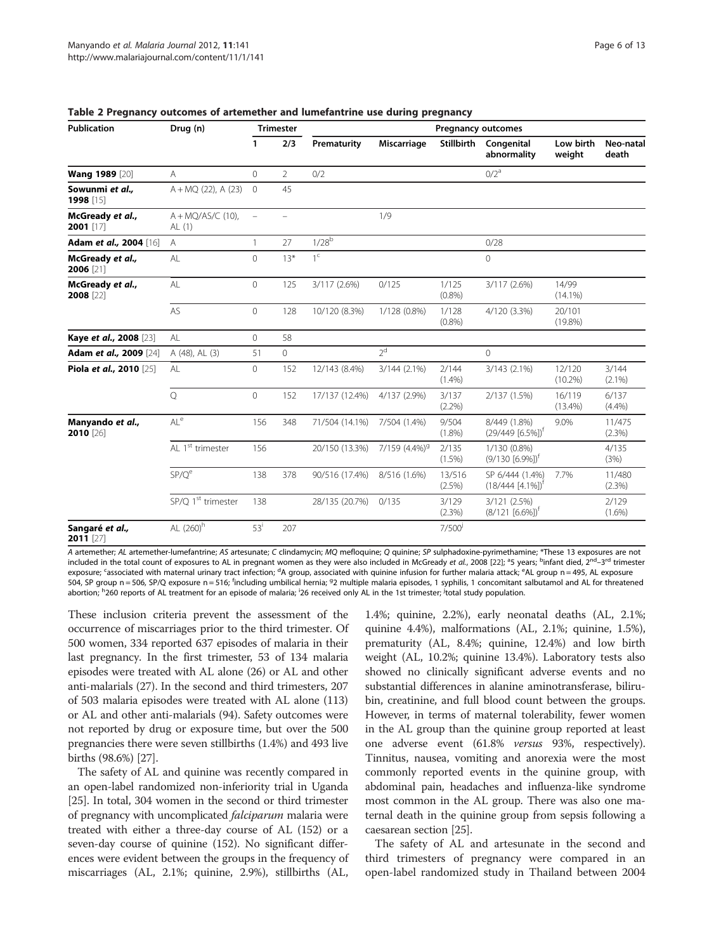| <b>Publication</b>             | Drug (n)                       | <b>Trimester</b>         |                          | <b>Pregnancy outcomes</b> |                           |                    |                                                 |                      |                    |
|--------------------------------|--------------------------------|--------------------------|--------------------------|---------------------------|---------------------------|--------------------|-------------------------------------------------|----------------------|--------------------|
|                                |                                | 1                        | 2/3                      | Prematurity               | Miscarriage               | Stillbirth         | Congenital<br>abnormality                       | Low birth<br>weight  | Neo-natal<br>death |
| Wang 1989 [20]                 | $\overline{A}$                 | $\circ$                  | $\overline{2}$           | 0/2                       |                           |                    | 0/2 <sup>a</sup>                                |                      |                    |
| Sowunmi et al.,<br>1998 [15]   | $A + MQ$ (22), A (23)          | $\circ$                  | 45                       |                           |                           |                    |                                                 |                      |                    |
| McGready et al.,<br>2001 [17]  | $A + MQ/AS/C$ (10),<br>AL(1)   | $\overline{\phantom{a}}$ | $\overline{\phantom{0}}$ |                           | 1/9                       |                    |                                                 |                      |                    |
| Adam et al., 2004 [16]         | A                              | $\overline{1}$           | 27                       | $1/28^{b}$                |                           |                    | 0/28                                            |                      |                    |
| McGready et al.,<br>2006 [21]  | AL                             | $\circ$                  | $13*$                    | 1 <sup>c</sup>            |                           |                    | $\mathbf{0}$                                    |                      |                    |
| McGready et al.,<br>2008 [22]  | AL                             | $\circ$                  | 125                      | 3/117 (2.6%)              | 0/125                     | 1/125<br>(0.8% )   | 3/117 (2.6%)                                    | 14/99<br>$(14.1\%)$  |                    |
|                                | AS                             | $\circledcirc$           | 128                      | 10/120 (8.3%)             | 1/128 (0.8%)              | 1/128<br>(0.8% )   | 4/120 (3.3%)                                    | 20/101<br>$(19.8\%)$ |                    |
| Kaye et al., 2008 [23]         | <b>AL</b>                      | $\mathbf{0}$             | 58                       |                           |                           |                    |                                                 |                      |                    |
| Adam et al., 2009 [24]         | A (48), AL (3)                 | 51                       | 0                        |                           | 2 <sup>d</sup>            |                    | $\mathbf{0}$                                    |                      |                    |
| Piola et al., 2010 [25]        | AL                             | $\circ$                  | 152                      | 12/143 (8.4%)             | 3/144 (2.1%)              | 2/144<br>(1.4%)    | 3/143 (2.1%)                                    | 12/120<br>$(10.2\%)$ | 3/144<br>$(2.1\%)$ |
|                                | $\mathcal{Q}$                  | $\mathbf{0}$             | 152                      | 17/137 (12.4%)            | 4/137 (2.9%)              | 3/137<br>(2.2%)    | 2/137 (1.5%)                                    | 16/119<br>$(13.4\%)$ | 6/137<br>(4.4%)    |
| Manyando et al.,<br>2010 [26]  | AL <sup>e</sup>                | 156                      | 348                      | 71/504 (14.1%)            | 7/504 (1.4%)              | 9/504<br>$(1.8\%)$ | 8/449 (1.8%)<br>$(29/449 [6.5\%])^T$            | 9.0%                 | 11/475<br>(2.3%)   |
|                                | AL 1 <sup>st</sup> trimester   | 156                      |                          | 20/150 (13.3%)            | 7/159 (4.4%) <sup>9</sup> | 2/135<br>$(1.5\%)$ | 1/130 (0.8%)<br>$(9/130 [6.9\%])^{\dagger}$     |                      | 4/135<br>(3%)      |
|                                | SP/O <sup>e</sup>              | 138                      | 378                      | 90/516 (17.4%)            | 8/516 (1.6%)              | 13/516<br>(2.5%)   | SP 6/444 (1.4%)<br>$(18/444 [4.1\%])^{\dagger}$ | 7.7%                 | 11/480<br>(2.3%)   |
|                                | SP/Q 1 <sup>st</sup> trimester | 138                      |                          | 28/135 (20.7%)            | 0/135                     | 3/129<br>(2.3%)    | 3/121 (2.5%)<br>$(8/121 [6.6\%])^{\dagger}$     |                      | 2/129<br>$(1.6\%)$ |
| Sangaré et al.,<br>$2011$ [27] | AL $(260)^h$                   | 53 <sup>i</sup>          | 207                      |                           |                           | $7/500^{j}$        |                                                 |                      |                    |

<span id="page-5-0"></span>

| Table 2 Pregnancy outcomes of artemether and lumefantrine use during pregnancy |  |  |
|--------------------------------------------------------------------------------|--|--|
|--------------------------------------------------------------------------------|--|--|

A artemether; AL artemether-lumefantrine; AS artesunate; C clindamycin; MQ mefloquine; Q quinine; SP sulphadoxine-pyrimethamine; \*These 13 exposures are not included in the total count of exposures to AL in pregnant women as they were also included in McGready et al., 2008 [\[22](#page-11-0)]; <sup>a</sup>5 years; <sup>b</sup>infant died, 2<sup>nd</sup> -3<sup>rd</sup> trimester exposure; <sup>c</sup>associated with maternal urinary tract infection; <sup>d</sup>A group, associated with quinine infusion for further malaria attack; <sup>e</sup>AL group n = 495, AL exposure 504, SP group n = 506, SP/Q exposure n = 516; <sup>f</sup>including umbilical hernia; <sup>g</sup>2 multiple malaria episodes, 1 syphilis, 1 concomitant salbutamol and AL for threatened abortion; <sup>h</sup>260 reports of AL treatment for an episode of malaria; <sup>i</sup>26 received only AL in the 1st trimester; <sup>j</sup>total study population.

These inclusion criteria prevent the assessment of the occurrence of miscarriages prior to the third trimester. Of 500 women, 334 reported 637 episodes of malaria in their last pregnancy. In the first trimester, 53 of 134 malaria episodes were treated with AL alone (26) or AL and other anti-malarials (27). In the second and third trimesters, 207 of 503 malaria episodes were treated with AL alone (113) or AL and other anti-malarials (94). Safety outcomes were not reported by drug or exposure time, but over the 500 pregnancies there were seven stillbirths (1.4%) and 493 live births (98.6%) [\[27\]](#page-11-0).

The safety of AL and quinine was recently compared in an open-label randomized non-inferiority trial in Uganda [[25](#page-11-0)]. In total, 304 women in the second or third trimester of pregnancy with uncomplicated *falciparum* malaria were treated with either a three-day course of AL (152) or a seven-day course of quinine (152). No significant differences were evident between the groups in the frequency of miscarriages (AL, 2.1%; quinine, 2.9%), stillbirths (AL, 1.4%; quinine, 2.2%), early neonatal deaths (AL, 2.1%; quinine 4.4%), malformations (AL, 2.1%; quinine, 1.5%), prematurity (AL, 8.4%; quinine, 12.4%) and low birth weight (AL, 10.2%; quinine 13.4%). Laboratory tests also showed no clinically significant adverse events and no substantial differences in alanine aminotransferase, bilirubin, creatinine, and full blood count between the groups. However, in terms of maternal tolerability, fewer women in the AL group than the quinine group reported at least one adverse event (61.8% versus 93%, respectively). Tinnitus, nausea, vomiting and anorexia were the most commonly reported events in the quinine group, with abdominal pain, headaches and influenza-like syndrome most common in the AL group. There was also one maternal death in the quinine group from sepsis following a caesarean section [\[25](#page-11-0)].

The safety of AL and artesunate in the second and third trimesters of pregnancy were compared in an open-label randomized study in Thailand between 2004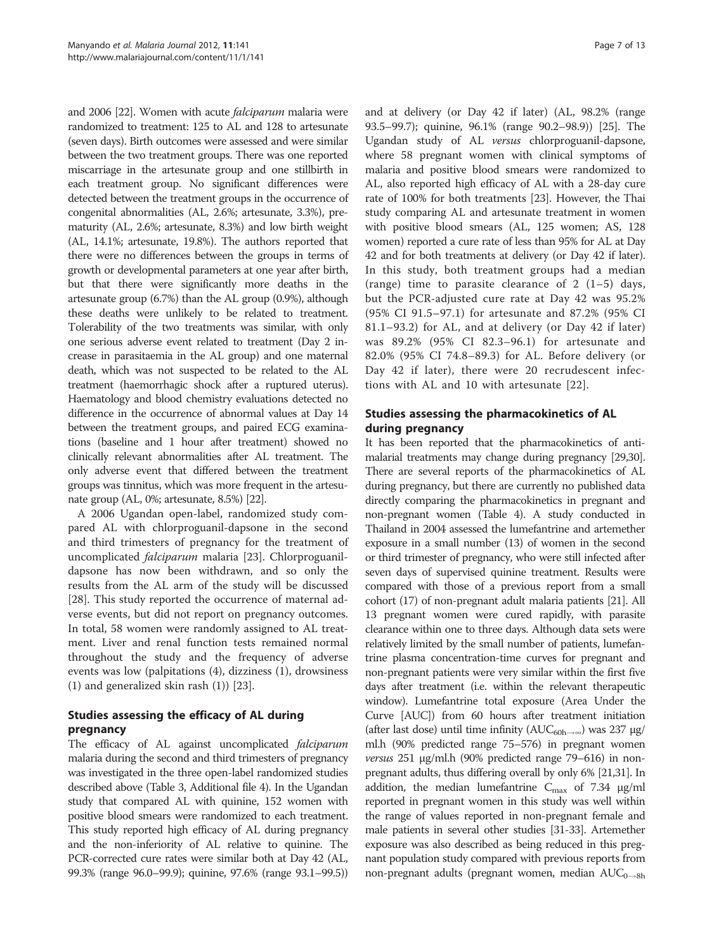and 2006 [[22](#page-11-0)]. Women with acute falciparum malaria were randomized to treatment: 125 to AL and 128 to artesunate (seven days). Birth outcomes were assessed and were similar between the two treatment groups. There was one reported miscarriage in the artesunate group and one stillbirth in each treatment group. No significant differences were detected between the treatment groups in the occurrence of congenital abnormalities (AL, 2.6%; artesunate, 3.3%), prematurity (AL, 2.6%; artesunate, 8.3%) and low birth weight (AL, 14.1%; artesunate, 19.8%). The authors reported that there were no differences between the groups in terms of growth or developmental parameters at one year after birth, but that there were significantly more deaths in the artesunate group (6.7%) than the AL group (0.9%), although these deaths were unlikely to be related to treatment. Tolerability of the two treatments was similar, with only one serious adverse event related to treatment (Day 2 increase in parasitaemia in the AL group) and one maternal death, which was not suspected to be related to the AL treatment (haemorrhagic shock after a ruptured uterus). Haematology and blood chemistry evaluations detected no difference in the occurrence of abnormal values at Day 14 between the treatment groups, and paired ECG examinations (baseline and 1 hour after treatment) showed no clinically relevant abnormalities after AL treatment. The only adverse event that differed between the treatment groups was tinnitus, which was more frequent in the artesunate group (AL, 0%; artesunate, 8.5%) [\[22\]](#page-11-0).

A 2006 Ugandan open-label, randomized study compared AL with chlorproguanil-dapsone in the second and third trimesters of pregnancy for the treatment of uncomplicated falciparum malaria [\[23\]](#page-11-0). Chlorproguanildapsone has now been withdrawn, and so only the results from the AL arm of the study will be discussed [[28\]](#page-12-0). This study reported the occurrence of maternal adverse events, but did not report on pregnancy outcomes. In total, 58 women were randomly assigned to AL treatment. Liver and renal function tests remained normal throughout the study and the frequency of adverse events was low (palpitations (4), dizziness (1), drowsiness (1) and generalized skin rash (1)) [\[23](#page-11-0)].

# Studies assessing the efficacy of AL during pregnancy

The efficacy of AL against uncomplicated *falciparum* malaria during the second and third trimesters of pregnancy was investigated in the three open-label randomized studies described above (Table [3](#page-7-0), [Additional file 4](#page-10-0)). In the Ugandan study that compared AL with quinine, 152 women with positive blood smears were randomized to each treatment. This study reported high efficacy of AL during pregnancy and the non-inferiority of AL relative to quinine. The PCR-corrected cure rates were similar both at Day 42 (AL, 99.3% (range 96.0–99.9); quinine, 97.6% (range 93.1–99.5))

and at delivery (or Day 42 if later) (AL, 98.2% (range 93.5–99.7); quinine, 96.1% (range 90.2–98.9)) [[25](#page-11-0)]. The Ugandan study of AL versus chlorproguanil-dapsone, where 58 pregnant women with clinical symptoms of malaria and positive blood smears were randomized to AL, also reported high efficacy of AL with a 28-day cure rate of 100% for both treatments [[23](#page-11-0)]. However, the Thai study comparing AL and artesunate treatment in women with positive blood smears (AL, 125 women; AS, 128 women) reported a cure rate of less than 95% for AL at Day 42 and for both treatments at delivery (or Day 42 if later). In this study, both treatment groups had a median (range) time to parasite clearance of  $2(1-5)$  days, but the PCR-adjusted cure rate at Day 42 was 95.2% (95% CI 91.5–97.1) for artesunate and 87.2% (95% CI 81.1–93.2) for AL, and at delivery (or Day 42 if later) was 89.2% (95% CI 82.3–96.1) for artesunate and 82.0% (95% CI 74.8–89.3) for AL. Before delivery (or Day 42 if later), there were 20 recrudescent infections with AL and 10 with artesunate [[22\]](#page-11-0).

# Studies assessing the pharmacokinetics of AL during pregnancy

It has been reported that the pharmacokinetics of antimalarial treatments may change during pregnancy [[29,30](#page-12-0)]. There are several reports of the pharmacokinetics of AL during pregnancy, but there are currently no published data directly comparing the pharmacokinetics in pregnant and non-pregnant women (Table [4\)](#page-8-0). A study conducted in Thailand in 2004 assessed the lumefantrine and artemether exposure in a small number (13) of women in the second or third trimester of pregnancy, who were still infected after seven days of supervised quinine treatment. Results were compared with those of a previous report from a small cohort (17) of non-pregnant adult malaria patients [[21\]](#page-11-0). All 13 pregnant women were cured rapidly, with parasite clearance within one to three days. Although data sets were relatively limited by the small number of patients, lumefantrine plasma concentration-time curves for pregnant and non-pregnant patients were very similar within the first five days after treatment (i.e. within the relevant therapeutic window). Lumefantrine total exposure (Area Under the Curve [AUC]) from 60 hours after treatment initiation (after last dose) until time infinity ( $AUC<sub>60h→∞</sub>$ ) was 237 μg/ ml.h (90% predicted range 75–576) in pregnant women versus 251 μg/ml.h (90% predicted range 79–616) in nonpregnant adults, thus differing overall by only 6% [\[21](#page-11-0)[,31](#page-12-0)]. In addition, the median lumefantrine  $C_{\text{max}}$  of 7.34  $\mu$ g/ml reported in pregnant women in this study was well within the range of values reported in non-pregnant female and male patients in several other studies [\[31-33](#page-12-0)]. Artemether exposure was also described as being reduced in this pregnant population study compared with previous reports from non-pregnant adults (pregnant women, median  $AUC_{0\rightarrow 8h}$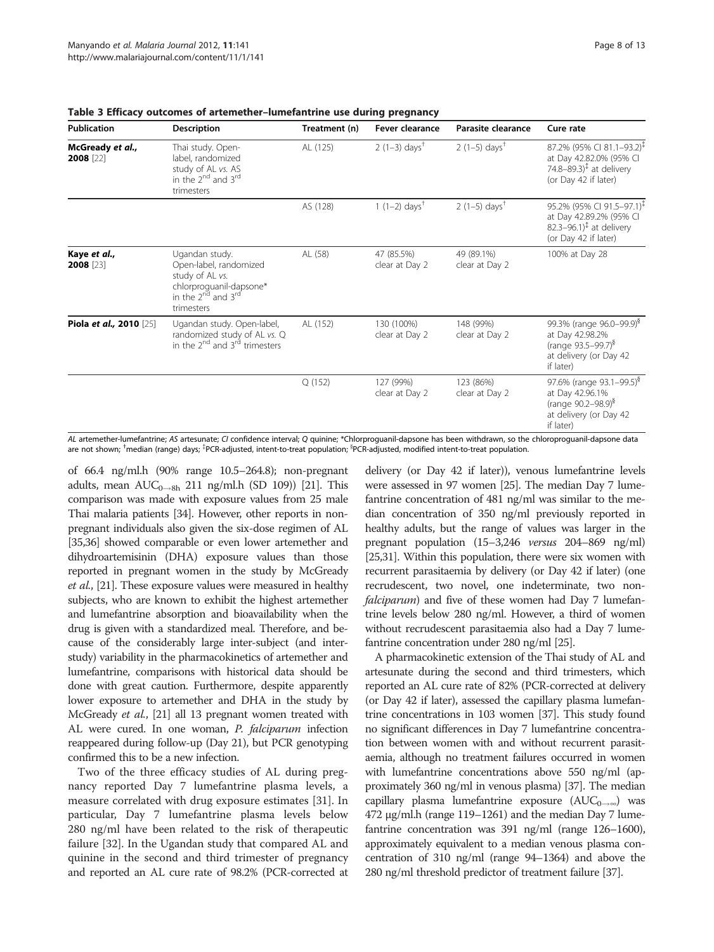| <b>Publication</b>            | <b>Description</b>                                                                                                                   | Treatment (n) | Fever clearance              | Parasite clearance           | Cure rate                                                                                                                        |
|-------------------------------|--------------------------------------------------------------------------------------------------------------------------------------|---------------|------------------------------|------------------------------|----------------------------------------------------------------------------------------------------------------------------------|
| McGready et al.,<br>2008 [22] | Thai study. Open-<br>label, randomized<br>study of AL vs. AS<br>in the $2^{nd}$ and $3^{rd}$<br>trimesters                           | AL (125)      | 2 $(1-3)$ days <sup>†</sup>  | 2 $(1-5)$ days <sup>†</sup>  | 87.2% (95% CI 81.1-93.2) <sup>3</sup><br>at Day 42.82.0% (95% CI<br>74.8-89.3) <sup>‡</sup> at delivery<br>(or Day 42 if later)  |
|                               |                                                                                                                                      | AS (128)      | 1 $(1-2)$ days <sup>†</sup>  | 2 (1–5) days <sup>†</sup>    | 95.2% (95% CI 91.5-97.1) <sup>¥</sup><br>at Day 42.89.2% (95% CI<br>82.3-96.1) <sup>‡</sup> at delivery<br>(or Day 42 if later)  |
| Kaye et al.,<br>2008 [23]     | Ugandan study.<br>Open-label, randomized<br>study of AL vs.<br>chlorproguanil-dapsone*<br>in the $2^{nd}$ and $3^{rd}$<br>trimesters | AL (58)       | 47 (85.5%)<br>clear at Day 2 | 49 (89.1%)<br>clear at Day 2 | 100% at Day 28                                                                                                                   |
| Piola et al., 2010 [25]       | Ugandan study. Open-label,<br>randomized study of AL vs. Q<br>in the $2^{nd}$ and $3^{rd}$ trimesters                                | AL (152)      | 130 (100%)<br>clear at Day 2 | 148 (99%)<br>clear at Day 2  | 99.3% (range 96.0-99.9) <sup>§</sup><br>at Day 42.98.2%<br>(range 93.5-99.7) <sup>§</sup><br>at delivery (or Day 42<br>if later) |
|                               |                                                                                                                                      | Q(152)        | 127 (99%)<br>clear at Day 2  | 123 (86%)<br>clear at Day 2  | 97.6% (range 93.1-99.5) <sup>§</sup><br>at Day 42.96.1%<br>(range 90.2-98.9) <sup>§</sup><br>at delivery (or Day 42<br>if later) |

<span id="page-7-0"></span>

| Table 3 Efficacy outcomes of artemether-lumefantrine use during pregnancy |  |  |
|---------------------------------------------------------------------------|--|--|
|---------------------------------------------------------------------------|--|--|

AL artemether-lumefantrine; AS artesunate; CI confidence interval; Q quinine; \*Chlorproguanil-dapsone has been withdrawn, so the chloroproguanil-dapsone data are not shown; <sup>†</sup>median (range) days; ‡PCR-adjusted, intent-to-treat population; <sup>\$</sup>PCR-adjusted, modified intent-to-treat population.

of 66.4 ng/ml.h (90% range 10.5–264.8); non-pregnant adults, mean  $AUC_{0\rightarrow 8h}$  211 ng/ml.h (SD 109)) [\[21\]](#page-11-0). This comparison was made with exposure values from 25 male Thai malaria patients [\[34\]](#page-12-0). However, other reports in nonpregnant individuals also given the six-dose regimen of AL [[35,36](#page-12-0)] showed comparable or even lower artemether and dihydroartemisinin (DHA) exposure values than those reported in pregnant women in the study by McGready et al., [\[21\]](#page-11-0). These exposure values were measured in healthy subjects, who are known to exhibit the highest artemether and lumefantrine absorption and bioavailability when the drug is given with a standardized meal. Therefore, and because of the considerably large inter-subject (and interstudy) variability in the pharmacokinetics of artemether and lumefantrine, comparisons with historical data should be done with great caution. Furthermore, despite apparently lower exposure to artemether and DHA in the study by McGready et al., [\[21\]](#page-11-0) all 13 pregnant women treated with AL were cured. In one woman, P. falciparum infection reappeared during follow-up (Day 21), but PCR genotyping confirmed this to be a new infection.

Two of the three efficacy studies of AL during pregnancy reported Day 7 lumefantrine plasma levels, a measure correlated with drug exposure estimates [[31\]](#page-12-0). In particular, Day 7 lumefantrine plasma levels below 280 ng/ml have been related to the risk of therapeutic failure [\[32](#page-12-0)]. In the Ugandan study that compared AL and quinine in the second and third trimester of pregnancy and reported an AL cure rate of 98.2% (PCR-corrected at

delivery (or Day 42 if later)), venous lumefantrine levels were assessed in 97 women [\[25\]](#page-11-0). The median Day 7 lumefantrine concentration of 481 ng/ml was similar to the median concentration of 350 ng/ml previously reported in healthy adults, but the range of values was larger in the pregnant population (15–3,246 versus 204–869 ng/ml) [[25](#page-11-0)[,31](#page-12-0)]. Within this population, there were six women with recurrent parasitaemia by delivery (or Day 42 if later) (one recrudescent, two novel, one indeterminate, two nonfalciparum) and five of these women had Day 7 lumefantrine levels below 280 ng/ml. However, a third of women without recrudescent parasitaemia also had a Day 7 lumefantrine concentration under 280 ng/ml [\[25\]](#page-11-0).

A pharmacokinetic extension of the Thai study of AL and artesunate during the second and third trimesters, which reported an AL cure rate of 82% (PCR-corrected at delivery (or Day 42 if later), assessed the capillary plasma lumefantrine concentrations in 103 women [\[37\]](#page-12-0). This study found no significant differences in Day 7 lumefantrine concentration between women with and without recurrent parasitaemia, although no treatment failures occurred in women with lumefantrine concentrations above 550 ng/ml (approximately 360 ng/ml in venous plasma) [\[37](#page-12-0)]. The median capillary plasma lumefantrine exposure  $(AUC_{0\rightarrow\infty})$  was 472 μg/ml.h (range 119–1261) and the median Day 7 lumefantrine concentration was 391 ng/ml (range 126–1600), approximately equivalent to a median venous plasma concentration of 310 ng/ml (range 94–1364) and above the 280 ng/ml threshold predictor of treatment failure [[37\]](#page-12-0).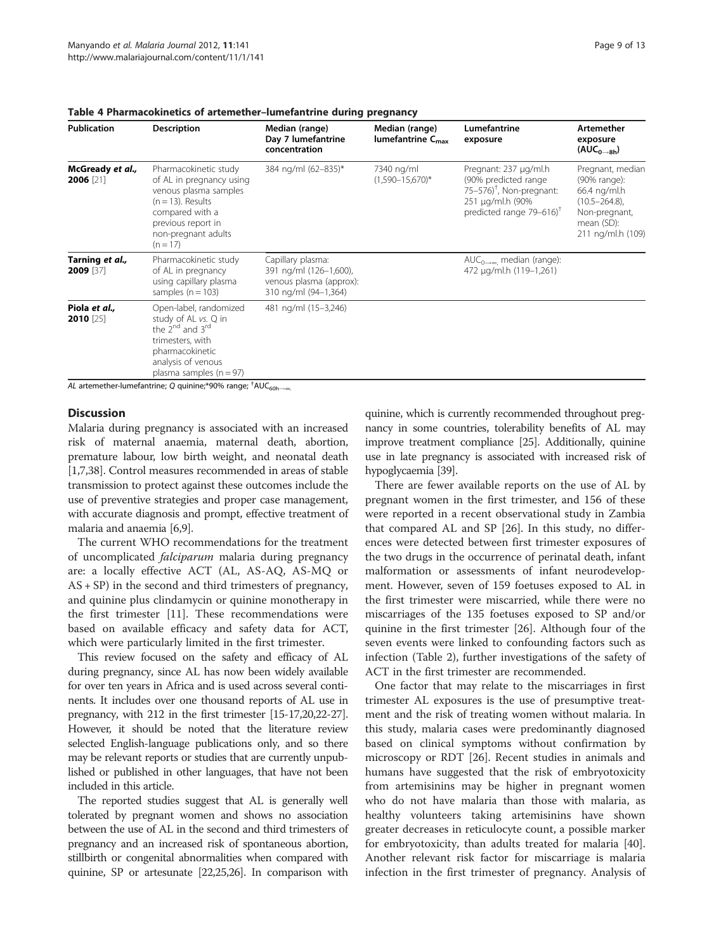<span id="page-8-0"></span>

| <b>Publication</b>                                                                                                                                                                                                | <b>Description</b>                                                                                                                                                    | Median (range)<br>Day 7 lumefantrine<br>concentration                                          | Median (range)<br>lumefantrine $C_{\text{max}}$ | Lumefantrine<br>exposure                                                                                                                            | Artemether<br>exposure<br>$(AUC_{0 \rightarrow 8h})$                                                                       |
|-------------------------------------------------------------------------------------------------------------------------------------------------------------------------------------------------------------------|-----------------------------------------------------------------------------------------------------------------------------------------------------------------------|------------------------------------------------------------------------------------------------|-------------------------------------------------|-----------------------------------------------------------------------------------------------------------------------------------------------------|----------------------------------------------------------------------------------------------------------------------------|
| McGready et al.,<br>Pharmacokinetic study<br>2006 [21]<br>of AL in pregnancy using<br>venous plasma samples<br>$(n = 13)$ . Results<br>compared with a<br>previous report in<br>non-pregnant adults<br>$(n = 17)$ |                                                                                                                                                                       | 384 ng/ml (62-835)*                                                                            | 7340 ng/ml<br>$(1,590 - 15,670)^*$              | Pregnant: 237 µg/ml.h<br>(90% predicted range)<br>$75-576$ <sup>T</sup> , Non-pregnant:<br>251 µg/ml.h (90%<br>predicted range 79-616) <sup>T</sup> | Pregnant, median<br>(90% range):<br>66.4 ng/ml.h<br>$(10.5 - 264.8)$ ,<br>Non-pregnant,<br>mean (SD):<br>211 ng/ml.h (109) |
| Tarning et al.,<br>2009 [37]                                                                                                                                                                                      | Pharmacokinetic study<br>of AL in pregnancy<br>using capillary plasma<br>samples $(n = 103)$                                                                          | Capillary plasma:<br>391 ng/ml (126-1,600),<br>venous plasma (approx):<br>310 ng/ml (94-1,364) |                                                 | $AUC_{0\rightarrow\infty}$ median (range):<br>472 µg/ml.h (119-1,261)                                                                               |                                                                                                                            |
| Piola et al.,<br>$2010$ [25]                                                                                                                                                                                      | Open-label, randomized<br>study of AL vs. Q in<br>the $2^{nd}$ and $3^{rd}$<br>trimesters, with<br>pharmacokinetic<br>analysis of venous<br>plasma samples $(n = 97)$ | 481 ng/ml (15-3,246)                                                                           |                                                 |                                                                                                                                                     |                                                                                                                            |

AL artemether-lumefantrine; Q quinine;\*90% range;  $^\dagger$ AUC $_{60\text{h}\rightarrow\infty}$ 

# **Discussion**

Malaria during pregnancy is associated with an increased risk of maternal anaemia, maternal death, abortion, premature labour, low birth weight, and neonatal death [[1,7](#page-11-0)[,38\]](#page-12-0). Control measures recommended in areas of stable transmission to protect against these outcomes include the use of preventive strategies and proper case management, with accurate diagnosis and prompt, effective treatment of malaria and anaemia [[6,9](#page-11-0)].

The current WHO recommendations for the treatment of uncomplicated *falciparum* malaria during pregnancy are: a locally effective ACT (AL, AS-AQ, AS-MQ or  $AS + SP$ ) in the second and third trimesters of pregnancy, and quinine plus clindamycin or quinine monotherapy in the first trimester [\[11\]](#page-11-0). These recommendations were based on available efficacy and safety data for ACT, which were particularly limited in the first trimester.

This review focused on the safety and efficacy of AL during pregnancy, since AL has now been widely available for over ten years in Africa and is used across several continents. It includes over one thousand reports of AL use in pregnancy, with 212 in the first trimester [\[15](#page-11-0)-[17,20,22-27](#page-11-0)]. However, it should be noted that the literature review selected English-language publications only, and so there may be relevant reports or studies that are currently unpublished or published in other languages, that have not been included in this article.

The reported studies suggest that AL is generally well tolerated by pregnant women and shows no association between the use of AL in the second and third trimesters of pregnancy and an increased risk of spontaneous abortion, stillbirth or congenital abnormalities when compared with quinine, SP or artesunate [\[22,25,26](#page-11-0)]. In comparison with

quinine, which is currently recommended throughout pregnancy in some countries, tolerability benefits of AL may improve treatment compliance [\[25](#page-11-0)]. Additionally, quinine use in late pregnancy is associated with increased risk of hypoglycaemia [[39\]](#page-12-0).

There are fewer available reports on the use of AL by pregnant women in the first trimester, and 156 of these were reported in a recent observational study in Zambia that compared AL and SP [[26](#page-11-0)]. In this study, no differences were detected between first trimester exposures of the two drugs in the occurrence of perinatal death, infant malformation or assessments of infant neurodevelopment. However, seven of 159 foetuses exposed to AL in the first trimester were miscarried, while there were no miscarriages of the 135 foetuses exposed to SP and/or quinine in the first trimester [[26\]](#page-11-0). Although four of the seven events were linked to confounding factors such as infection (Table [2\)](#page-5-0), further investigations of the safety of ACT in the first trimester are recommended.

One factor that may relate to the miscarriages in first trimester AL exposures is the use of presumptive treatment and the risk of treating women without malaria. In this study, malaria cases were predominantly diagnosed based on clinical symptoms without confirmation by microscopy or RDT [\[26](#page-11-0)]. Recent studies in animals and humans have suggested that the risk of embryotoxicity from artemisinins may be higher in pregnant women who do not have malaria than those with malaria, as healthy volunteers taking artemisinins have shown greater decreases in reticulocyte count, a possible marker for embryotoxicity, than adults treated for malaria [[40](#page-12-0)]. Another relevant risk factor for miscarriage is malaria infection in the first trimester of pregnancy. Analysis of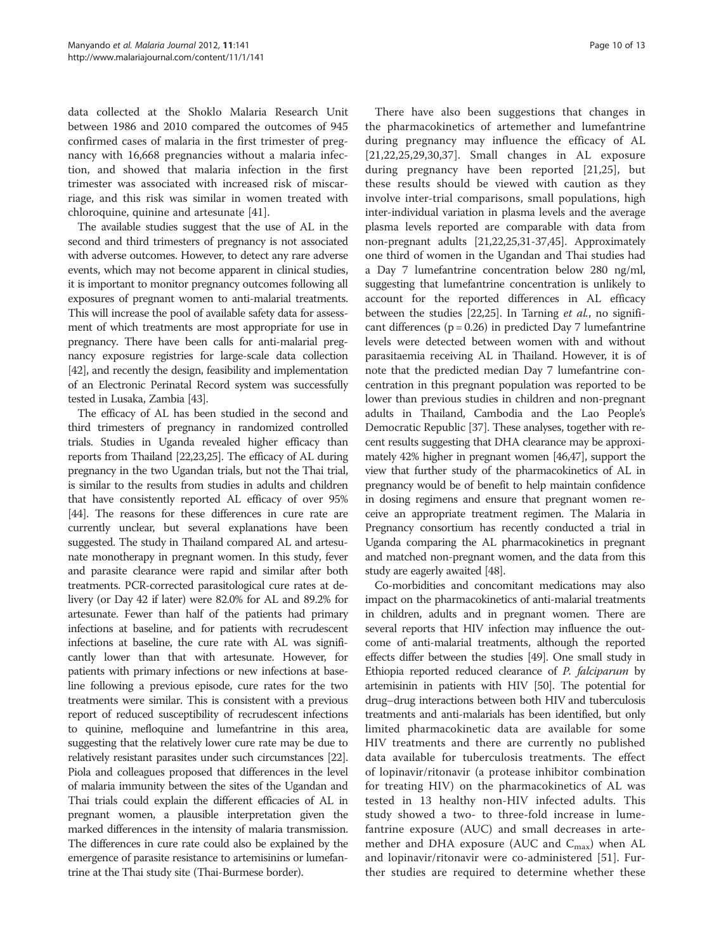data collected at the Shoklo Malaria Research Unit between 1986 and 2010 compared the outcomes of 945 confirmed cases of malaria in the first trimester of pregnancy with 16,668 pregnancies without a malaria infection, and showed that malaria infection in the first trimester was associated with increased risk of miscarriage, and this risk was similar in women treated with chloroquine, quinine and artesunate [\[41\]](#page-12-0).

The available studies suggest that the use of AL in the second and third trimesters of pregnancy is not associated with adverse outcomes. However, to detect any rare adverse events, which may not become apparent in clinical studies, it is important to monitor pregnancy outcomes following all exposures of pregnant women to anti-malarial treatments. This will increase the pool of available safety data for assessment of which treatments are most appropriate for use in pregnancy. There have been calls for anti-malarial pregnancy exposure registries for large-scale data collection [[42](#page-12-0)], and recently the design, feasibility and implementation of an Electronic Perinatal Record system was successfully tested in Lusaka, Zambia [\[43\]](#page-12-0).

The efficacy of AL has been studied in the second and third trimesters of pregnancy in randomized controlled trials. Studies in Uganda revealed higher efficacy than reports from Thailand [[22,23,25\]](#page-11-0). The efficacy of AL during pregnancy in the two Ugandan trials, but not the Thai trial, is similar to the results from studies in adults and children that have consistently reported AL efficacy of over 95% [[44](#page-12-0)]. The reasons for these differences in cure rate are currently unclear, but several explanations have been suggested. The study in Thailand compared AL and artesunate monotherapy in pregnant women. In this study, fever and parasite clearance were rapid and similar after both treatments. PCR-corrected parasitological cure rates at delivery (or Day 42 if later) were 82.0% for AL and 89.2% for artesunate. Fewer than half of the patients had primary infections at baseline, and for patients with recrudescent infections at baseline, the cure rate with AL was significantly lower than that with artesunate. However, for patients with primary infections or new infections at baseline following a previous episode, cure rates for the two treatments were similar. This is consistent with a previous report of reduced susceptibility of recrudescent infections to quinine, mefloquine and lumefantrine in this area, suggesting that the relatively lower cure rate may be due to relatively resistant parasites under such circumstances [\[22](#page-11-0)]. Piola and colleagues proposed that differences in the level of malaria immunity between the sites of the Ugandan and Thai trials could explain the different efficacies of AL in pregnant women, a plausible interpretation given the marked differences in the intensity of malaria transmission. The differences in cure rate could also be explained by the emergence of parasite resistance to artemisinins or lumefantrine at the Thai study site (Thai-Burmese border).

There have also been suggestions that changes in the pharmacokinetics of artemether and lumefantrine during pregnancy may influence the efficacy of AL [[21,22,25](#page-11-0)[,29](#page-12-0),[30,37\]](#page-12-0). Small changes in AL exposure during pregnancy have been reported [[21,25\]](#page-11-0), but these results should be viewed with caution as they involve inter-trial comparisons, small populations, high inter-individual variation in plasma levels and the average plasma levels reported are comparable with data from non-pregnant adults [[21,22,25,](#page-11-0)[31](#page-12-0)-[37,45\]](#page-12-0). Approximately one third of women in the Ugandan and Thai studies had a Day 7 lumefantrine concentration below 280 ng/ml, suggesting that lumefantrine concentration is unlikely to account for the reported differences in AL efficacy between the studies  $[22,25]$  $[22,25]$ . In Tarning *et al.*, no significant differences ( $p = 0.26$ ) in predicted Day 7 lumefantrine levels were detected between women with and without parasitaemia receiving AL in Thailand. However, it is of note that the predicted median Day 7 lumefantrine concentration in this pregnant population was reported to be lower than previous studies in children and non-pregnant adults in Thailand, Cambodia and the Lao People's Democratic Republic [[37](#page-12-0)]. These analyses, together with recent results suggesting that DHA clearance may be approximately 42% higher in pregnant women [\[46,47\]](#page-12-0), support the view that further study of the pharmacokinetics of AL in pregnancy would be of benefit to help maintain confidence in dosing regimens and ensure that pregnant women receive an appropriate treatment regimen. The Malaria in Pregnancy consortium has recently conducted a trial in Uganda comparing the AL pharmacokinetics in pregnant and matched non-pregnant women, and the data from this study are eagerly awaited [\[48\]](#page-12-0).

Co-morbidities and concomitant medications may also impact on the pharmacokinetics of anti-malarial treatments in children, adults and in pregnant women. There are several reports that HIV infection may influence the outcome of anti-malarial treatments, although the reported effects differ between the studies [\[49](#page-12-0)]. One small study in Ethiopia reported reduced clearance of P. falciparum by artemisinin in patients with HIV [\[50\]](#page-12-0). The potential for drug–drug interactions between both HIV and tuberculosis treatments and anti-malarials has been identified, but only limited pharmacokinetic data are available for some HIV treatments and there are currently no published data available for tuberculosis treatments. The effect of lopinavir/ritonavir (a protease inhibitor combination for treating HIV) on the pharmacokinetics of AL was tested in 13 healthy non-HIV infected adults. This study showed a two- to three-fold increase in lumefantrine exposure (AUC) and small decreases in artemether and DHA exposure (AUC and  $C_{\text{max}}$ ) when AL and lopinavir/ritonavir were co-administered [[51](#page-12-0)]. Further studies are required to determine whether these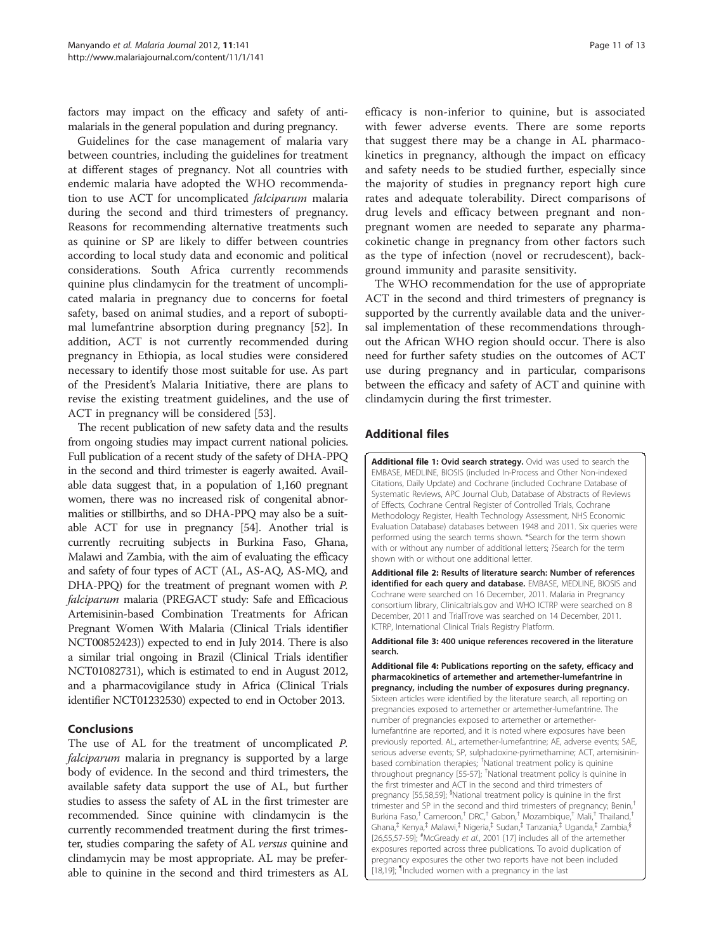<span id="page-10-0"></span>factors may impact on the efficacy and safety of antimalarials in the general population and during pregnancy.

Guidelines for the case management of malaria vary between countries, including the guidelines for treatment at different stages of pregnancy. Not all countries with endemic malaria have adopted the WHO recommendation to use ACT for uncomplicated falciparum malaria during the second and third trimesters of pregnancy. Reasons for recommending alternative treatments such as quinine or SP are likely to differ between countries according to local study data and economic and political considerations. South Africa currently recommends quinine plus clindamycin for the treatment of uncomplicated malaria in pregnancy due to concerns for foetal safety, based on animal studies, and a report of suboptimal lumefantrine absorption during pregnancy [\[52\]](#page-12-0). In addition, ACT is not currently recommended during pregnancy in Ethiopia, as local studies were considered necessary to identify those most suitable for use. As part of the President's Malaria Initiative, there are plans to revise the existing treatment guidelines, and the use of ACT in pregnancy will be considered [\[53\]](#page-12-0).

The recent publication of new safety data and the results from ongoing studies may impact current national policies. Full publication of a recent study of the safety of DHA-PPQ in the second and third trimester is eagerly awaited. Available data suggest that, in a population of 1,160 pregnant women, there was no increased risk of congenital abnormalities or stillbirths, and so DHA-PPQ may also be a suitable ACT for use in pregnancy [\[54\]](#page-12-0). Another trial is currently recruiting subjects in Burkina Faso, Ghana, Malawi and Zambia, with the aim of evaluating the efficacy and safety of four types of ACT (AL, AS-AQ, AS-MQ, and DHA-PPQ) for the treatment of pregnant women with P. falciparum malaria (PREGACT study: Safe and Efficacious Artemisinin-based Combination Treatments for African Pregnant Women With Malaria (Clinical Trials identifier NCT00852423)) expected to end in July 2014. There is also a similar trial ongoing in Brazil (Clinical Trials identifier NCT01082731), which is estimated to end in August 2012, and a pharmacovigilance study in Africa (Clinical Trials identifier NCT01232530) expected to end in October 2013.

### Conclusions

The use of AL for the treatment of uncomplicated P. falciparum malaria in pregnancy is supported by a large body of evidence. In the second and third trimesters, the available safety data support the use of AL, but further studies to assess the safety of AL in the first trimester are recommended. Since quinine with clindamycin is the currently recommended treatment during the first trimester, studies comparing the safety of AL versus quinine and clindamycin may be most appropriate. AL may be preferable to quinine in the second and third trimesters as AL efficacy is non-inferior to quinine, but is associated with fewer adverse events. There are some reports that suggest there may be a change in AL pharmacokinetics in pregnancy, although the impact on efficacy and safety needs to be studied further, especially since the majority of studies in pregnancy report high cure rates and adequate tolerability. Direct comparisons of drug levels and efficacy between pregnant and nonpregnant women are needed to separate any pharmacokinetic change in pregnancy from other factors such as the type of infection (novel or recrudescent), background immunity and parasite sensitivity.

The WHO recommendation for the use of appropriate ACT in the second and third trimesters of pregnancy is supported by the currently available data and the universal implementation of these recommendations throughout the African WHO region should occur. There is also need for further safety studies on the outcomes of ACT use during pregnancy and in particular, comparisons between the efficacy and safety of ACT and quinine with clindamycin during the first trimester.

# Additional files

[Additional file 1:](http://www.biomedcentral.com/content/supplementary/1475-2875-11-141-S1.doc) Ovid search strategy. Ovid was used to search the EMBASE, MEDLINE, BIOSIS (included In-Process and Other Non-indexed Citations, Daily Update) and Cochrane (included Cochrane Database of Systematic Reviews, APC Journal Club, Database of Abstracts of Reviews of Effects, Cochrane Central Register of Controlled Trials, Cochrane Methodology Register, Health Technology Assessment, NHS Economic Evaluation Database) databases between 1948 and 2011. Six queries were performed using the search terms shown. \*Search for the term shown with or without any number of additional letters; ?Search for the term shown with or without one additional letter.

[Additional file 2:](http://www.biomedcentral.com/content/supplementary/1475-2875-11-141-S2.doc) Results of literature search: Number of references identified for each query and database. EMBASE, MEDLINE, BIOSIS and Cochrane were searched on 16 December, 2011. Malaria in Pregnancy consortium library, Clinicaltrials.gov and WHO ICTRP were searched on 8 December, 2011 and TrialTrove was searched on 14 December, 2011. ICTRP, International Clinical Trials Registry Platform.

[Additional file 3:](http://www.biomedcentral.com/content/supplementary/1475-2875-11-141-S3.doc) 400 unique references recovered in the literature search.

[Additional file 4:](http://www.biomedcentral.com/content/supplementary/1475-2875-11-141-S4.doc) Publications reporting on the safety, efficacy and pharmacokinetics of artemether and artemether-lumefantrine in pregnancy, including the number of exposures during pregnancy. Sixteen articles were identified by the literature search, all reporting on pregnancies exposed to artemether or artemether-lumefantrine. The number of pregnancies exposed to artemether or artemetherlumefantrine are reported, and it is noted where exposures have been previously reported. AL, artemether-lumefantrine; AE, adverse events; SAE, serious adverse events; SP, sulphadoxine-pyrimethamine; ACT, artemisininbased combination therapies; † National treatment policy is quinine throughout pregnancy [55-57]; † National treatment policy is quinine in the first trimester and ACT in the second and third trimesters of pregnancy [55,58,59]; <sup>§</sup>National treatment policy is quinine in the first trimester and SP in the second and third trimesters of pregnancy; Benin,† Burkina Faso,† Cameroon,† DRC,† Gabon,† Mozambique,† Mali,† Thailand,† Ghana,<sup>‡</sup> Kenya,<sup>‡</sup> Malawi,<sup>‡</sup> Nigeria,<sup>‡</sup> Sudan,<sup>‡</sup> Tanzania,<sup>‡</sup> Uganda,<sup>‡</sup> Zambia,<sup>§</sup> [26,55,57-59]; #McGready et al., 2001 [17] includes all of the artemether exposures reported across three publications. To avoid duplication of pregnancy exposures the other two reports have not been included [18,19]; <sup>1</sup>Included women with a pregnancy in the last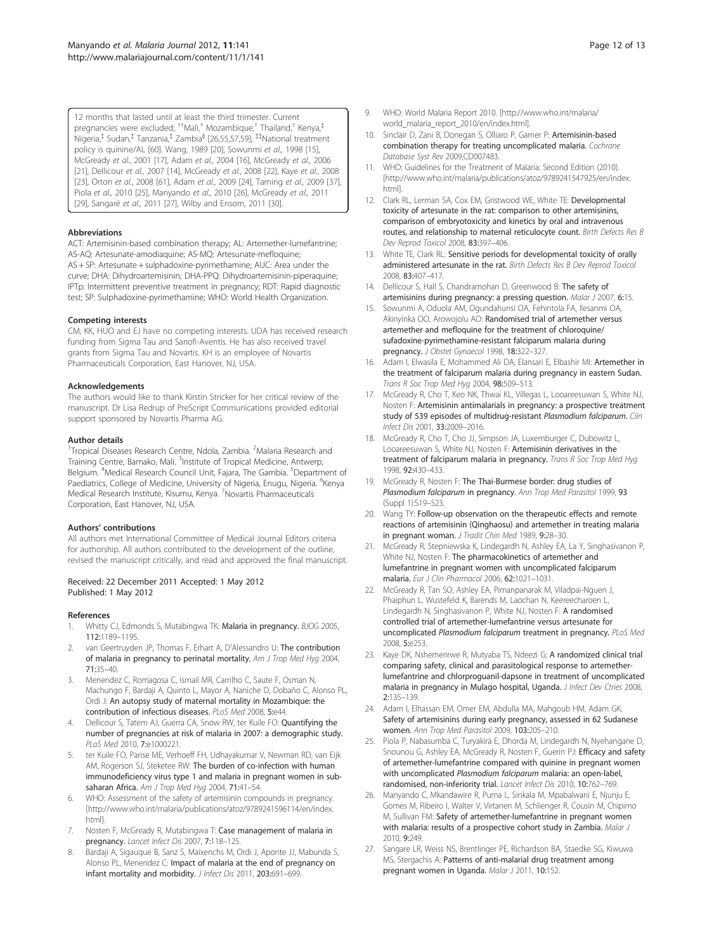<span id="page-11-0"></span>12 months that lasted until at least the third trimester. Current pregnancies were excluded; <sup>††</sup>Mali,<sup>†</sup> Mozambique,<sup>†</sup> Thailand,<sup>†</sup> Kenya,<sup>‡</sup> Nigeria,<sup>‡</sup> Sudan,<sup>‡</sup> Tanzania,<sup>‡</sup> Zambia<sup>§</sup> [26,55,57,59]; <sup>‡‡</sup>National treatment policy is quinine/AL [60]. Wang, 1989 [20], Sowunmi et al., 1998 [15], McGready et al., 2001 [17], Adam et al., 2004 [16], McGready et al., 2006 [21], Dellicour et al., 2007 [14], McGready et al., 2008 [22], Kaye et al., 2008 [23], Orton et al., 2008 [61], Adam et al., 2009 [24], Tarning et al., 2009 [37], Piola et al., 2010 [25], Manyando et al., 2010 [26], McGready et al., 2011 [29], Sangaré et al., 2011 [27], Wilby and Ensom, 2011 [30].

#### Abbreviations

ACT: Artemisinin-based combination therapy; AL: Artemether-lumefantrine; AS-AQ: Artesunate-amodiaquine; AS-MQ: Artesunate-mefloquine; AS + SP: Artesunate + sulphadoxine-pyrimethamine; AUC: Area under the curve; DHA: Dihydroartemisinin; DHA-PPQ: Dihydroartemisinin-piperaquine; IPTp: Intermittent preventive treatment in pregnancy; RDT: Rapid diagnostic test; SP: Sulphadoxine-pyrimethamine; WHO: World Health Organization.

#### Competing interests

CM, KK, HUO and EJ have no competing interests. UDA has received research funding from Sigma Tau and Sanofi-Aventis. He has also received travel grants from Sigma Tau and Novartis. KH is an employee of Novartis Pharmaceuticals Corporation, East Hanover, NJ, USA.

#### Acknowledgements

The authors would like to thank Kirstin Stricker for her critical review of the manuscript. Dr Lisa Redrup of PreScript Communications provided editorial support sponsored by Novartis Pharma AG.

#### Author details

<sup>1</sup>Tropical Diseases Research Centre, Ndola, Zambia. <sup>2</sup>Malaria Research and Training Centre, Bamako, Mali. <sup>3</sup>Institute of Tropical Medicine, Antwerp, Belgium. <sup>4</sup>Medical Research Council Unit, Fajara, The Gambia. <sup>5</sup>Department of Paediatrics, College of Medicine, University of Nigeria, Enugu, Nigeria. <sup>6</sup>Kenya Medical Research Institute, Kisumu, Kenya. <sup>7</sup>Novartis Pharmaceuticals Corporation, East Hanover, NJ, USA.

#### Authors' contributions

All authors met International Committee of Medical Journal Editors criteria for authorship. All authors contributed to the development of the outline, revised the manuscript critically, and read and approved the final manuscript.

#### Received: 22 December 2011 Accepted: 1 May 2012 Published: 1 May 2012

#### References

- 1. Whitty CJ, Edmonds S, Mutabingwa TK: Malaria in pregnancy. BJOG 2005, 112:1189–1195.
- 2. van Geertruyden JP, Thomas F, Erhart A, D'Alessandro U: The contribution of malaria in pregnancy to perinatal mortality. Am J Trop Med Hyg 2004, 71:35–40.
- 3. Menendez C, Romagosa C, Ismail MR, Carrilho C, Saute F, Osman N, Machungo F, Bardaji A, Quinto L, Mayor A, Naniche D, Dobaño C, Alonso PL, Ordi J: An autopsy study of maternal mortality in Mozambique: the contribution of infectious diseases. PLoS Med 2008, 5:e44.
- Dellicour S, Tatem AJ, Guerra CA, Snow RW, ter Kuile FO: Quantifying the number of pregnancies at risk of malaria in 2007: a demographic study. PLoS Med 2010, 7:e1000221.
- ter Kuile FO, Parise ME, Verhoeff FH, Udhayakumar V, Newman RD, van Eijk AM, Rogerson SJ, Steketee RW: The burden of co-infection with human immunodeficiency virus type 1 and malaria in pregnant women in subsaharan Africa. Am J Trop Med Hyg 2004, 71:41-54.
- 6. WHO: Assessment of the safety of artemisinin compounds in pregnancy. [\[http://www.who.int/malaria/publications/atoz/9789241596114/en/index.](http://www.who.int/malaria/publications/atoz/9789241596114/en/index.html) [html\]](http://www.who.int/malaria/publications/atoz/9789241596114/en/index.html).
- 7. Nosten F, McGready R, Mutabingwa T: Case management of malaria in pregnancy. Lancet Infect Dis 2007, 7:118–125.
- 8. Bardaji A, Sigauque B, Sanz S, Maixenchs M, Ordi J, Aponte JJ, Mabunda S, Alonso PL, Menendez C: Impact of malaria at the end of pregnancy on infant mortality and morbidity. J Infect Dis 2011, 203:691–699.
- 9. WHO: World Malaria Report 2010. [[http://www.who.int/malaria/](http://www.who.int/malaria/world_malaria_report_2010/en/index.html) [world\\_malaria\\_report\\_2010/en/index.html\]](http://www.who.int/malaria/world_malaria_report_2010/en/index.html).
- 10. Sinclair D, Zani B, Donegan S, Olliaro P, Garner P: Artemisinin-based combination therapy for treating uncomplicated malaria. Cochrane Database Syst Rev 2009,CD007483.
- 11. WHO: Guidelines for the Treatment of Malaria: Second Edition (2010). [[http://www.who.int/malaria/publications/atoz/9789241547925/en/index.](http://www.who.int/malaria/publications/atoz/9789241547925/en/index.html) [html\]](http://www.who.int/malaria/publications/atoz/9789241547925/en/index.html).
- 12. Clark RL, Lerman SA, Cox EM, Gristwood WE, White TE: Developmental toxicity of artesunate in the rat: comparison to other artemisinins, comparison of embryotoxicity and kinetics by oral and intravenous routes, and relationship to maternal reticulocyte count. Birth Defects Res B Dev Reprod Toxicol 2008, 83:397–406.
- 13. White TE, Clark RL: Sensitive periods for developmental toxicity of orally administered artesunate in the rat. Birth Defects Res B Dev Reprod Toxicol 2008, 83:407–417.
- 14. Dellicour S, Hall S, Chandramohan D, Greenwood B: The safety of artemisinins during pregnancy: a pressing question. Malar J 2007, 6:15.
- 15. Sowunmi A, Oduola AM, Ogundahunsi OA, Fehintola FA, Ilesanmi OA, Akinyinka OO, Arowojolu AO: Randomised trial of artemether versus artemether and mefloquine for the treatment of chloroquine/ sufadoxine-pyrimethamine-resistant falciparum malaria during pregnancy. J Obstet Gynaecol 1998, 18:322–327.
- 16. Adam I, Elwasila E, Mohammed Ali DA, Elansari E, Elbashir MI: Artemether in the treatment of falciparum malaria during pregnancy in eastern Sudan. Trans R Soc Trop Med Hyg 2004, 98:509–513.
- 17. McGready R, Cho T, Keo NK, Thwai KL, Villegas L, Looareesuwan S, White NJ, Nosten F: Artemisinin antimalarials in pregnancy: a prospective treatment study of 539 episodes of multidrug-resistant Plasmodium falciparum. Clin Infect Dis 2001, 33:2009–2016.
- 18. McGready R, Cho T, Cho JJ, Simpson JA, Luxemburger C, Dubowitz L, Looareesuwan S, White NJ, Nosten F: Artemisinin derivatives in the treatment of falciparum malaria in pregnancy. Trans R Soc Trop Med Hyg 1998, 92:430–433.
- 19. McGready R, Nosten F: The Thai-Burmese border: drug studies of Plasmodium falciparum in pregnancy. Ann Trop Med Parasitol 1999, 93 (Suppl 1):S19–S23.
- 20. Wang TY: Follow-up observation on the therapeutic effects and remote reactions of artemisinin (Qinghaosu) and artemether in treating malaria in pregnant woman. J Tradit Chin Med 1989, 9:28-30.
- 21. McGready R, Stepniewska K, Lindegardh N, Ashley EA, La Y, Singhasivanon P, White NJ, Nosten F: The pharmacokinetics of artemether and lumefantrine in pregnant women with uncomplicated falciparum malaria. Eur J Clin Pharmacol 2006, 62:1021–1031.
- 22. McGready R, Tan SO, Ashley EA, Pimanpanarak M, Viladpai-Nguen J, Phaiphun L, Wustefeld K, Barends M, Laochan N, Keereecharoen L, Lindegardh N, Singhasivanon P, White NJ, Nosten F: A randomised controlled trial of artemether-lumefantrine versus artesunate for uncomplicated Plasmodium falciparum treatment in pregnancy. PLoS Med 2008, 5:e253.
- 23. Kaye DK, Nshemerirwe R, Mutyaba TS, Ndeezi G: A randomized clinical trial comparing safety, clinical and parasitological response to artemetherlumefantrine and chlorproguanil-dapsone in treatment of uncomplicated malaria in pregnancy in Mulago hospital, Uganda. J Infect Dev Ctries 2008, 2:135–139.
- 24. Adam I, Elhassan EM, Omer EM, Abdulla MA, Mahgoub HM, Adam GK: Safety of artemisinins during early pregnancy, assessed in 62 Sudanese women. Ann Trop Med Parasitol 2009, 103:205–210.
- 25. Piola P, Nabasumba C, Turyakira E, Dhorda M, Lindegardh N, Nyehangane D, Snounou G, Ashley EA, McGready R, Nosten F, Guerin PJ: Efficacy and safety of artemether-lumefantrine compared with quinine in pregnant women with uncomplicated Plasmodium falciparum malaria: an open-label, randomised, non-inferiority trial. Lancet Infect Dis 2010, 10:762–769.
- 26. Manyando C, Mkandawire R, Puma L, Sinkala M, Mpabalwani E, Njunju E, Gomes M, Ribeiro I, Walter V, Virtanen M, Schlienger R, Cousin M, Chipimo M, Sullivan FM: Safety of artemether-lumefantrine in pregnant women with malaria: results of a prospective cohort study in Zambia. Malar J 2010, 9:249.
- 27. Sangare LR, Weiss NS, Brentlinger PE, Richardson BA, Staedke SG, Kiwuwa MS, Stergachis A: Patterns of anti-malarial drug treatment among pregnant women in Uganda. Malar J 2011, 10:152.